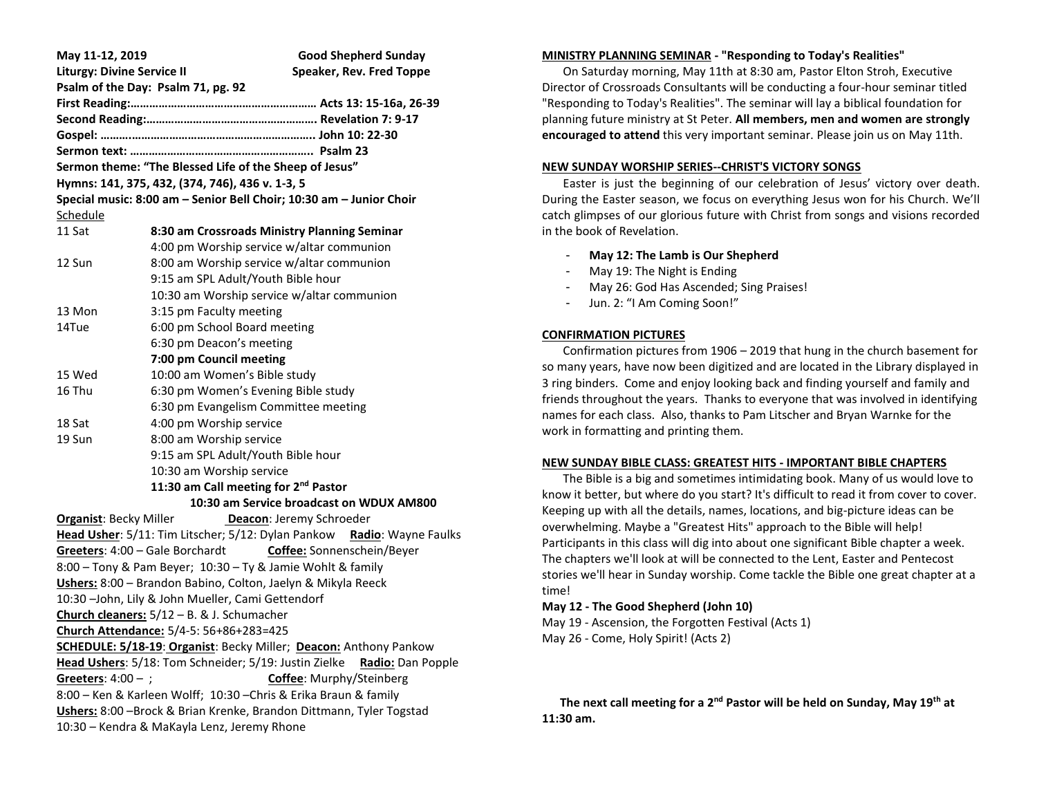| May 11-12, 2019                                                            | <b>Good Shepherd Sunday</b>                                                 |  |
|----------------------------------------------------------------------------|-----------------------------------------------------------------------------|--|
| <b>Liturgy: Divine Service II</b>                                          | Speaker, Rev. Fred Toppe                                                    |  |
| Psalm of the Day: Psalm 71, pg. 92                                         |                                                                             |  |
|                                                                            |                                                                             |  |
|                                                                            |                                                                             |  |
|                                                                            |                                                                             |  |
|                                                                            |                                                                             |  |
| Sermon theme: "The Blessed Life of the Sheep of Jesus"                     |                                                                             |  |
| Hymns: 141, 375, 432, (374, 746), 436 v. 1-3, 5                            |                                                                             |  |
| Special music: 8:00 am - Senior Bell Choir; 10:30 am - Junior Choir        |                                                                             |  |
| <u>Schedule</u>                                                            |                                                                             |  |
| 11 Sat                                                                     | 8:30 am Crossroads Ministry Planning Seminar                                |  |
|                                                                            | 4:00 pm Worship service w/altar communion                                   |  |
| 12 Sun                                                                     | 8:00 am Worship service w/altar communion                                   |  |
|                                                                            | 9:15 am SPL Adult/Youth Bible hour                                          |  |
|                                                                            | 10:30 am Worship service w/altar communion                                  |  |
| 13 Mon                                                                     | 3:15 pm Faculty meeting                                                     |  |
| 14Tue                                                                      | 6:00 pm School Board meeting                                                |  |
|                                                                            | 6:30 pm Deacon's meeting                                                    |  |
|                                                                            | 7:00 pm Council meeting                                                     |  |
| 15 Wed<br>16 Thu                                                           | 10:00 am Women's Bible study                                                |  |
|                                                                            | 6:30 pm Women's Evening Bible study<br>6:30 pm Evangelism Committee meeting |  |
| 18 Sat                                                                     | 4:00 pm Worship service                                                     |  |
| 19 Sun                                                                     | 8:00 am Worship service                                                     |  |
|                                                                            | 9:15 am SPL Adult/Youth Bible hour                                          |  |
|                                                                            | 10:30 am Worship service                                                    |  |
| 11:30 am Call meeting for 2 <sup>nd</sup> Pastor                           |                                                                             |  |
| 10:30 am Service broadcast on WDUX AM800                                   |                                                                             |  |
| <b>Organist: Becky Miller</b><br>Deacon: Jeremy Schroeder                  |                                                                             |  |
| Head Usher: 5/11: Tim Litscher; 5/12: Dylan Pankow Radio: Wayne Faulks     |                                                                             |  |
| Greeters: 4:00 - Gale Borchardt Coffee: Sonnenschein/Beyer                 |                                                                             |  |
| 8:00 - Tony & Pam Beyer; 10:30 - Ty & Jamie Wohlt & family                 |                                                                             |  |
| Ushers: 8:00 - Brandon Babino, Colton, Jaelyn & Mikyla Reeck               |                                                                             |  |
| 10:30 -John, Lily & John Mueller, Cami Gettendorf                          |                                                                             |  |
| Church cleaners: $5/12 - B$ . & J. Schumacher                              |                                                                             |  |
| Church Attendance: 5/4-5: 56+86+283=425                                    |                                                                             |  |
| <b>SCHEDULE: 5/18-19: Organist: Becky Miller; Deacon: Anthony Pankow</b>   |                                                                             |  |
| Head Ushers: 5/18: Tom Schneider; 5/19: Justin Zielke<br>Radio: Dan Popple |                                                                             |  |
| Greeters: $4:00 -$ ;<br>Coffee: Murphy/Steinberg                           |                                                                             |  |
| 8:00 - Ken & Karleen Wolff; 10:30 - Chris & Erika Braun & family           |                                                                             |  |
| Ushers: 8:00 - Brock & Brian Krenke, Brandon Dittmann, Tyler Togstad       |                                                                             |  |
| 10:30 - Kendra & MaKayla Lenz, Jeremy Rhone                                |                                                                             |  |

## **MINISTRY PLANNING SEMINAR - "Responding to Today's Realities"**

 On Saturday morning, May 11th at 8:30 am, Pastor Elton Stroh, Executive Director of Crossroads Consultants will be conducting a four-hour seminar titled "Responding to Today's Realities". The seminar will lay a biblical foundation for planning future ministry at St Peter. **All members, men and women are strongly encouraged to attend** this very important seminar. Please join us on May 11th.

#### **NEW SUNDAY WORSHIP SERIES--CHRIST'S VICTORY SONGS**

 Easter is just the beginning of our celebration of Jesus' victory over death. During the Easter season, we focus on everything Jesus won for his Church. We'll catch glimpses of our glorious future with Christ from songs and visions recorded in the book of Revelation.

- **May 12: The Lamb is Our Shepherd**
- May 19: The Night is Ending
- May 26: God Has Ascended; Sing Praises!
- Jun. 2: "I Am Coming Soon!"

### **CONFIRMATION PICTURES**

 Confirmation pictures from 1906 – 2019 that hung in the church basement for so many years, have now been digitized and are located in the Library displayed in 3 ring binders. Come and enjoy looking back and finding yourself and family and friends throughout the years. Thanks to everyone that was involved in identifying names for each class. Also, thanks to Pam Litscher and Bryan Warnke for the work in formatting and printing them.

#### **NEW SUNDAY BIBLE CLASS: GREATEST HITS - IMPORTANT BIBLE CHAPTERS**

 The Bible is a big and sometimes intimidating book. Many of us would love to know it better, but where do you start? It's difficult to read it from cover to cover. Keeping up with all the details, names, locations, and big-picture ideas can be overwhelming. Maybe a "Greatest Hits" approach to the Bible will help! Participants in this class will dig into about one significant Bible chapter a week. The chapters we'll look at will be connected to the Lent, Easter and Pentecost stories we'll hear in Sunday worship. Come tackle the Bible one great chapter at a time!

#### **May 12 - The Good Shepherd (John 10)**

May 19 - Ascension, the Forgotten Festival (Acts 1) May 26 - Come, Holy Spirit! (Acts 2)

 **The next call meeting for a 2nd Pastor will be held on Sunday, May 19th at 11:30 am.**